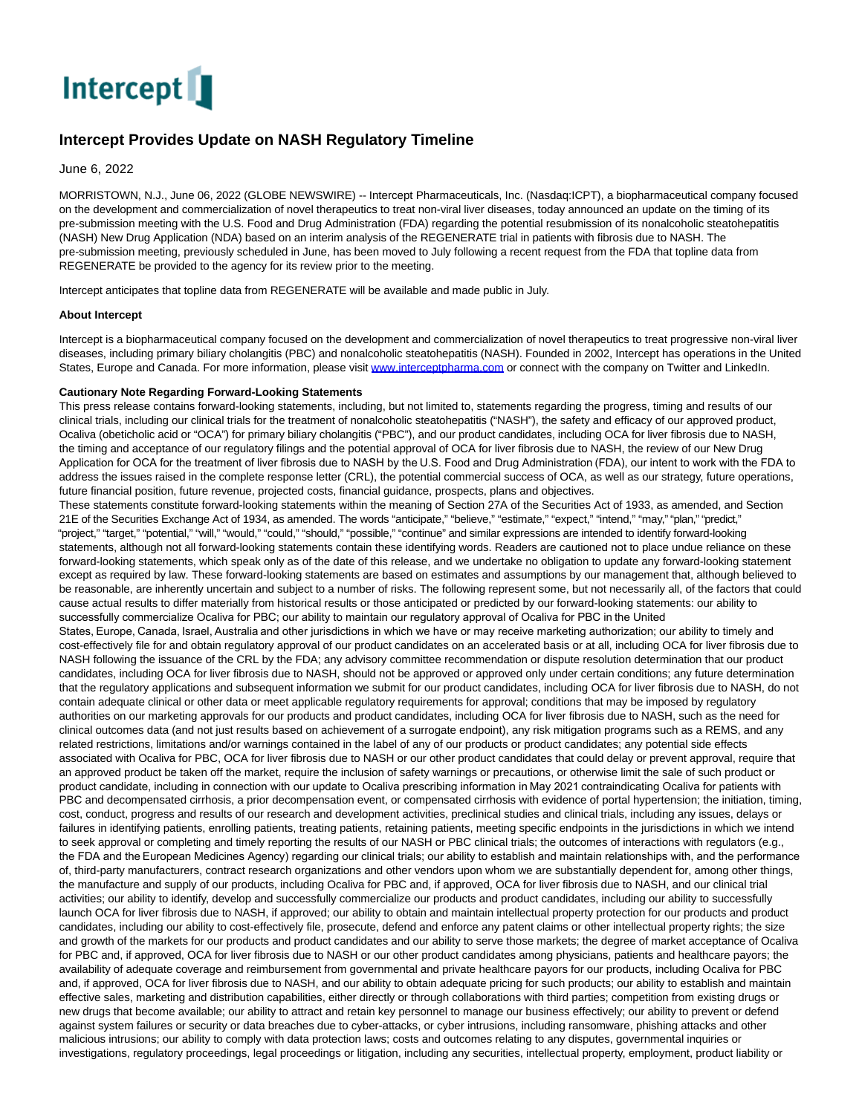

## **Intercept Provides Update on NASH Regulatory Timeline**

June 6, 2022

MORRISTOWN, N.J., June 06, 2022 (GLOBE NEWSWIRE) -- Intercept Pharmaceuticals, Inc. (Nasdaq:ICPT), a biopharmaceutical company focused on the development and commercialization of novel therapeutics to treat non-viral liver diseases, today announced an update on the timing of its pre-submission meeting with the U.S. Food and Drug Administration (FDA) regarding the potential resubmission of its nonalcoholic steatohepatitis (NASH) New Drug Application (NDA) based on an interim analysis of the REGENERATE trial in patients with fibrosis due to NASH. The pre-submission meeting, previously scheduled in June, has been moved to July following a recent request from the FDA that topline data from REGENERATE be provided to the agency for its review prior to the meeting.

Intercept anticipates that topline data from REGENERATE will be available and made public in July.

## **About Intercept**

Intercept is a biopharmaceutical company focused on the development and commercialization of novel therapeutics to treat progressive non-viral liver diseases, including primary biliary cholangitis (PBC) and nonalcoholic steatohepatitis (NASH). Founded in 2002, Intercept has operations in the United States, Europe and Canada. For more information, please visit www.interceptoharma.com or connect with the company on Twitter and LinkedIn.

## **Cautionary Note Regarding Forward-Looking Statements**

This press release contains forward-looking statements, including, but not limited to, statements regarding the progress, timing and results of our clinical trials, including our clinical trials for the treatment of nonalcoholic steatohepatitis ("NASH"), the safety and efficacy of our approved product, Ocaliva (obeticholic acid or "OCA") for primary biliary cholangitis ("PBC"), and our product candidates, including OCA for liver fibrosis due to NASH, the timing and acceptance of our regulatory filings and the potential approval of OCA for liver fibrosis due to NASH, the review of our New Drug Application for OCA for the treatment of liver fibrosis due to NASH by the U.S. Food and Drug Administration (FDA), our intent to work with the FDA to address the issues raised in the complete response letter (CRL), the potential commercial success of OCA, as well as our strategy, future operations, future financial position, future revenue, projected costs, financial guidance, prospects, plans and objectives.

These statements constitute forward-looking statements within the meaning of Section 27A of the Securities Act of 1933, as amended, and Section 21E of the Securities Exchange Act of 1934, as amended. The words "anticipate," "believe," "estimate," "expect," "intend," "may," "plan," "predict," "project," "target," "potential," "will," "would," "could," "should," "possible," "continue" and similar expressions are intended to identify forward-looking statements, although not all forward-looking statements contain these identifying words. Readers are cautioned not to place undue reliance on these forward-looking statements, which speak only as of the date of this release, and we undertake no obligation to update any forward-looking statement except as required by law. These forward-looking statements are based on estimates and assumptions by our management that, although believed to be reasonable, are inherently uncertain and subject to a number of risks. The following represent some, but not necessarily all, of the factors that could cause actual results to differ materially from historical results or those anticipated or predicted by our forward-looking statements: our ability to successfully commercialize Ocaliva for PBC; our ability to maintain our regulatory approval of Ocaliva for PBC in the United States, Europe, Canada, Israel, Australia and other jurisdictions in which we have or may receive marketing authorization; our ability to timely and cost-effectively file for and obtain regulatory approval of our product candidates on an accelerated basis or at all, including OCA for liver fibrosis due to NASH following the issuance of the CRL by the FDA; any advisory committee recommendation or dispute resolution determination that our product candidates, including OCA for liver fibrosis due to NASH, should not be approved or approved only under certain conditions; any future determination that the regulatory applications and subsequent information we submit for our product candidates, including OCA for liver fibrosis due to NASH, do not contain adequate clinical or other data or meet applicable regulatory requirements for approval; conditions that may be imposed by regulatory authorities on our marketing approvals for our products and product candidates, including OCA for liver fibrosis due to NASH, such as the need for clinical outcomes data (and not just results based on achievement of a surrogate endpoint), any risk mitigation programs such as a REMS, and any related restrictions, limitations and/or warnings contained in the label of any of our products or product candidates; any potential side effects associated with Ocaliva for PBC, OCA for liver fibrosis due to NASH or our other product candidates that could delay or prevent approval, require that an approved product be taken off the market, require the inclusion of safety warnings or precautions, or otherwise limit the sale of such product or product candidate, including in connection with our update to Ocaliva prescribing information in May 2021 contraindicating Ocaliva for patients with PBC and decompensated cirrhosis, a prior decompensation event, or compensated cirrhosis with evidence of portal hypertension; the initiation, timing, cost, conduct, progress and results of our research and development activities, preclinical studies and clinical trials, including any issues, delays or failures in identifying patients, enrolling patients, treating patients, retaining patients, meeting specific endpoints in the jurisdictions in which we intend to seek approval or completing and timely reporting the results of our NASH or PBC clinical trials; the outcomes of interactions with regulators (e.g., the FDA and the European Medicines Agency) regarding our clinical trials; our ability to establish and maintain relationships with, and the performance of, third-party manufacturers, contract research organizations and other vendors upon whom we are substantially dependent for, among other things, the manufacture and supply of our products, including Ocaliva for PBC and, if approved, OCA for liver fibrosis due to NASH, and our clinical trial activities; our ability to identify, develop and successfully commercialize our products and product candidates, including our ability to successfully launch OCA for liver fibrosis due to NASH, if approved; our ability to obtain and maintain intellectual property protection for our products and product candidates, including our ability to cost-effectively file, prosecute, defend and enforce any patent claims or other intellectual property rights; the size and growth of the markets for our products and product candidates and our ability to serve those markets; the degree of market acceptance of Ocaliva for PBC and, if approved, OCA for liver fibrosis due to NASH or our other product candidates among physicians, patients and healthcare payors; the availability of adequate coverage and reimbursement from governmental and private healthcare payors for our products, including Ocaliva for PBC and, if approved, OCA for liver fibrosis due to NASH, and our ability to obtain adequate pricing for such products; our ability to establish and maintain effective sales, marketing and distribution capabilities, either directly or through collaborations with third parties; competition from existing drugs or new drugs that become available; our ability to attract and retain key personnel to manage our business effectively; our ability to prevent or defend against system failures or security or data breaches due to cyber-attacks, or cyber intrusions, including ransomware, phishing attacks and other malicious intrusions; our ability to comply with data protection laws; costs and outcomes relating to any disputes, governmental inquiries or investigations, regulatory proceedings, legal proceedings or litigation, including any securities, intellectual property, employment, product liability or